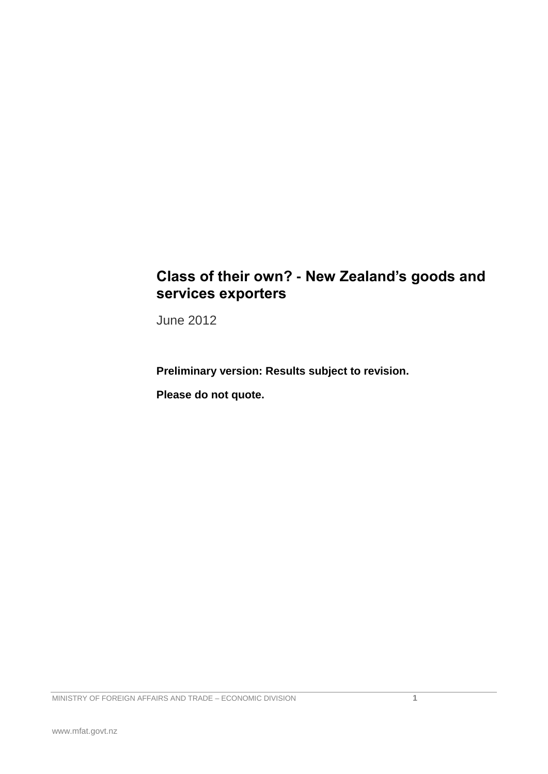## **Class of their own? - New Zealand's goods and services exporters**

June 2012

**Preliminary version: Results subject to revision.**

**Please do not quote.**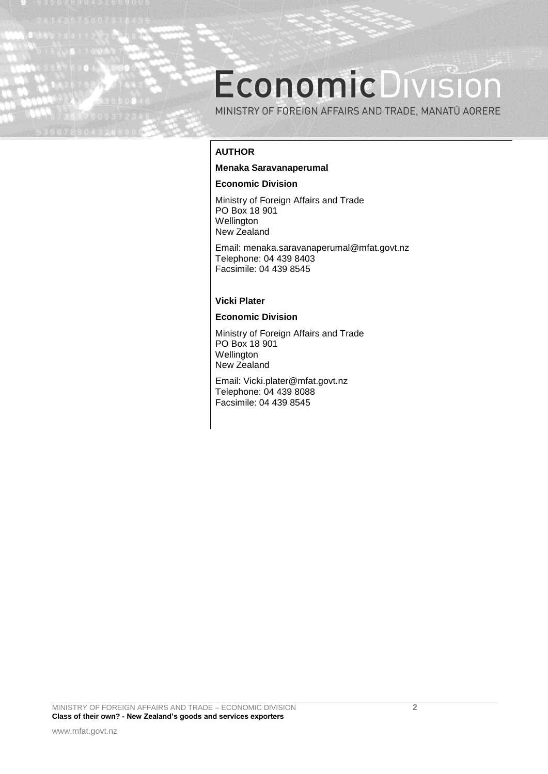# **EconomicDivision**

MINISTRY OF FOREIGN AFFAIRS AND TRADE, MANATŪ AORERE

## **AUTHOR**

#### **Menaka Saravanaperumal**

#### **Economic Division**

Ministry of Foreign Affairs and Trade PO Box 18 901 **Wellington** New Zealand

Email: menaka.saravanaperumal@mfat.govt.nz Telephone: 04 439 8403 Facsimile: 04 439 8545

#### **Vicki Plater**

#### **Economic Division**

Ministry of Foreign Affairs and Trade PO Box 18 901 Wellington New Zealand

Email: Vicki.plater@mfat.govt.nz Telephone: 04 439 8088 Facsimile: 04 439 8545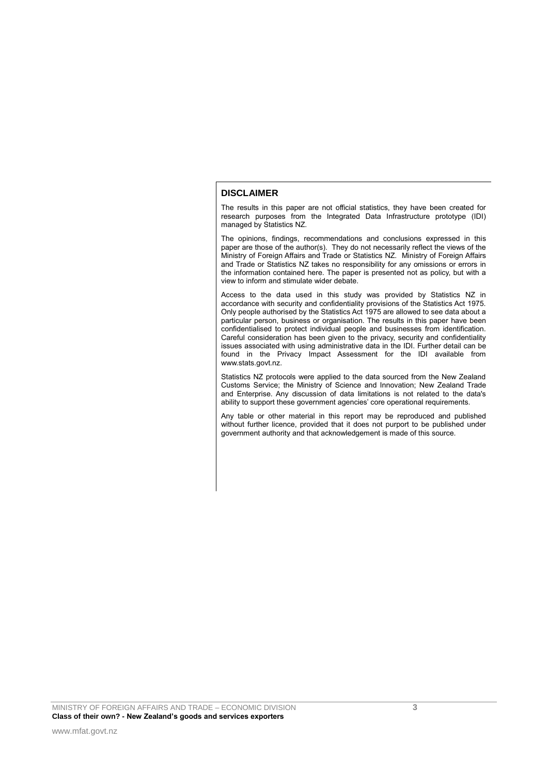#### **DISCLAIMER**

The results in this paper are not official statistics, they have been created for research purposes from the Integrated Data Infrastructure prototype (IDI) managed by Statistics NZ.

The opinions, findings, recommendations and conclusions expressed in this paper are those of the author(s). They do not necessarily reflect the views of the Ministry of Foreign Affairs and Trade or Statistics NZ. Ministry of Foreign Affairs and Trade or Statistics NZ takes no responsibility for any omissions or errors in the information contained here. The paper is presented not as policy, but with a view to inform and stimulate wider debate.

Access to the data used in this study was provided by Statistics NZ in accordance with security and confidentiality provisions of the Statistics Act 1975. Only people authorised by the Statistics Act 1975 are allowed to see data about a particular person, business or organisation. The results in this paper have been confidentialised to protect individual people and businesses from identification. Careful consideration has been given to the privacy, security and confidentiality issues associated with using administrative data in the IDI. Further detail can be found in the Privacy Impact Assessment for the IDI available from [www.stats.govt.nz.](http://www.stats.govt.nz/)

Statistics NZ protocols were applied to the data sourced from the New Zealand Customs Service; the Ministry of Science and Innovation; New Zealand Trade and Enterprise. Any discussion of data limitations is not related to the data's ability to support these government agencies' core operational requirements.

Any table or other material in this report may be reproduced and published without further licence, provided that it does not purport to be published under government authority and that acknowledgement is made of this source.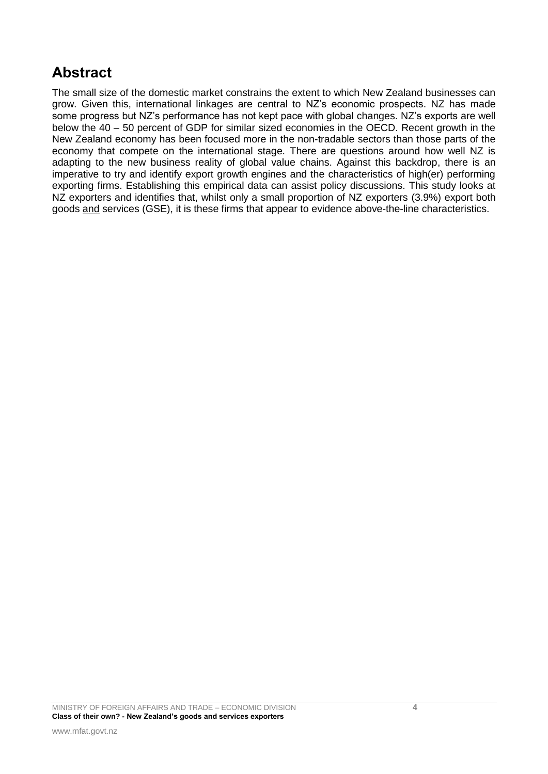# **Abstract**

The small size of the domestic market constrains the extent to which New Zealand businesses can grow. Given this, international linkages are central to NZ"s economic prospects. NZ has made some progress but NZ's performance has not kept pace with global changes. NZ's exports are well below the 40 – 50 percent of GDP for similar sized economies in the OECD. Recent growth in the New Zealand economy has been focused more in the non-tradable sectors than those parts of the economy that compete on the international stage. There are questions around how well NZ is adapting to the new business reality of global value chains. Against this backdrop, there is an imperative to try and identify export growth engines and the characteristics of high(er) performing exporting firms. Establishing this empirical data can assist policy discussions. This study looks at NZ exporters and identifies that, whilst only a small proportion of NZ exporters (3.9%) export both goods and services (GSE), it is these firms that appear to evidence above-the-line characteristics.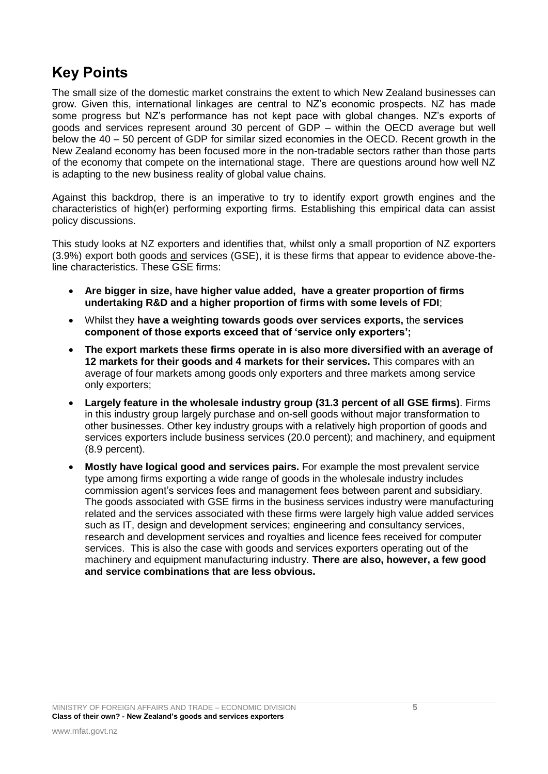## **Key Points**

The small size of the domestic market constrains the extent to which New Zealand businesses can grow. Given this, international linkages are central to NZ"s economic prospects. NZ has made some progress but NZ"s performance has not kept pace with global changes. NZ"s exports of goods and services represent around 30 percent of GDP – within the OECD average but well below the 40 – 50 percent of GDP for similar sized economies in the OECD. Recent growth in the New Zealand economy has been focused more in the non-tradable sectors rather than those parts of the economy that compete on the international stage. There are questions around how well NZ is adapting to the new business reality of global value chains.

Against this backdrop, there is an imperative to try to identify export growth engines and the characteristics of high(er) performing exporting firms. Establishing this empirical data can assist policy discussions.

This study looks at NZ exporters and identifies that, whilst only a small proportion of NZ exporters (3.9%) export both goods and services (GSE), it is these firms that appear to evidence above-theline characteristics. These GSE firms:

- **Are bigger in size, have higher value added, have a greater proportion of firms undertaking R&D and a higher proportion of firms with some levels of FDI**;
- Whilst they **have a weighting towards goods over services exports,** the **services component of those exports exceed that of 'service only exporters';**
- **The export markets these firms operate in is also more diversified with an average of 12 markets for their goods and 4 markets for their services.** This compares with an average of four markets among goods only exporters and three markets among service only exporters;
- **Largely feature in the wholesale industry group (31.3 percent of all GSE firms)**. Firms in this industry group largely purchase and on-sell goods without major transformation to other businesses. Other key industry groups with a relatively high proportion of goods and services exporters include business services (20.0 percent); and machinery, and equipment (8.9 percent).
- **Mostly have logical good and services pairs.** For example the most prevalent service type among firms exporting a wide range of goods in the wholesale industry includes commission agent"s services fees and management fees between parent and subsidiary. The goods associated with GSE firms in the business services industry were manufacturing related and the services associated with these firms were largely high value added services such as IT, design and development services; engineering and consultancy services, research and development services and royalties and licence fees received for computer services. This is also the case with goods and services exporters operating out of the machinery and equipment manufacturing industry. **There are also, however, a few good and service combinations that are less obvious.**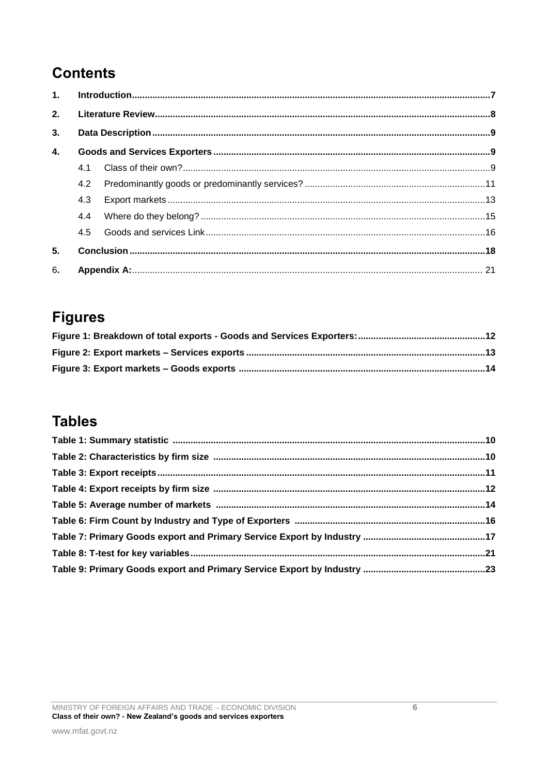# **Contents**

| 1. |     |  |  |  |  |
|----|-----|--|--|--|--|
| 2. |     |  |  |  |  |
| 3. |     |  |  |  |  |
| 4. |     |  |  |  |  |
|    | 4.1 |  |  |  |  |
|    | 4.2 |  |  |  |  |
|    | 4.3 |  |  |  |  |
|    | 4.4 |  |  |  |  |
|    | 4.5 |  |  |  |  |
| 5. |     |  |  |  |  |
| 6. |     |  |  |  |  |

# **Figures**

# **Tables**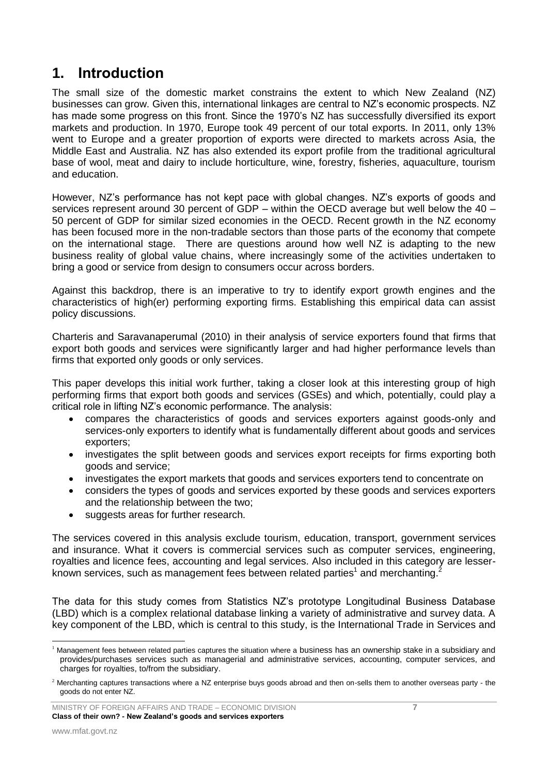## <span id="page-6-0"></span>**1. Introduction**

The small size of the domestic market constrains the extent to which New Zealand (NZ) businesses can grow. Given this, international linkages are central to NZ"s economic prospects. NZ has made some progress on this front. Since the 1970"s NZ has successfully diversified its export markets and production. In 1970, Europe took 49 percent of our total exports. In 2011, only 13% went to Europe and a greater proportion of exports were directed to markets across Asia, the Middle East and Australia. NZ has also extended its export profile from the traditional agricultural base of wool, meat and dairy to include horticulture, wine, forestry, fisheries, aquaculture, tourism and education.

However, NZ"s performance has not kept pace with global changes. NZ"s exports of goods and services represent around 30 percent of GDP – within the OECD average but well below the 40 – 50 percent of GDP for similar sized economies in the OECD. Recent growth in the NZ economy has been focused more in the non-tradable sectors than those parts of the economy that compete on the international stage. There are questions around how well NZ is adapting to the new business reality of global value chains, where increasingly some of the activities undertaken to bring a good or service from design to consumers occur across borders.

Against this backdrop, there is an imperative to try to identify export growth engines and the characteristics of high(er) performing exporting firms. Establishing this empirical data can assist policy discussions.

Charteris and Saravanaperumal (2010) in their analysis of service exporters found that firms that export both goods and services were significantly larger and had higher performance levels than firms that exported only goods or only services.

This paper develops this initial work further, taking a closer look at this interesting group of high performing firms that export both goods and services (GSEs) and which, potentially, could play a critical role in lifting NZ"s economic performance. The analysis:

- compares the characteristics of goods and services exporters against goods-only and services-only exporters to identify what is fundamentally different about goods and services exporters;
- investigates the split between goods and services export receipts for firms exporting both goods and service;
- investigates the export markets that goods and services exporters tend to concentrate on
- considers the types of goods and services exported by these goods and services exporters and the relationship between the two;
- suggests areas for further research.

The services covered in this analysis exclude tourism, education, transport, government services and insurance. What it covers is commercial services such as computer services, engineering, royalties and licence fees, accounting and legal services. Also included in this category are lesserknown services, such as management fees between related parties<sup>1</sup> and merchanting.<sup>2</sup>

The data for this study comes from Statistics NZ"s prototype Longitudinal Business Database (LBD) which is a complex relational database linking a variety of administrative and survey data. A key component of the LBD, which is central to this study, is the International Trade in Services and

<sup>-</sup> $1$  Management fees between related parties captures the situation where a business has an ownership stake in a subsidiary and provides/purchases services such as managerial and administrative services, accounting, computer services, and charges for royalties, to/from the subsidiary.

<sup>&</sup>lt;sup>2</sup> Merchanting captures transactions where a NZ enterprise buys goods abroad and then on-sells them to another overseas party - the goods do not enter NZ.

MINISTRY OF FOREIGN AFFAIRS AND TRADE – ECONOMIC DIVISION **7 Class of their own? - New Zealand's goods and services exporters**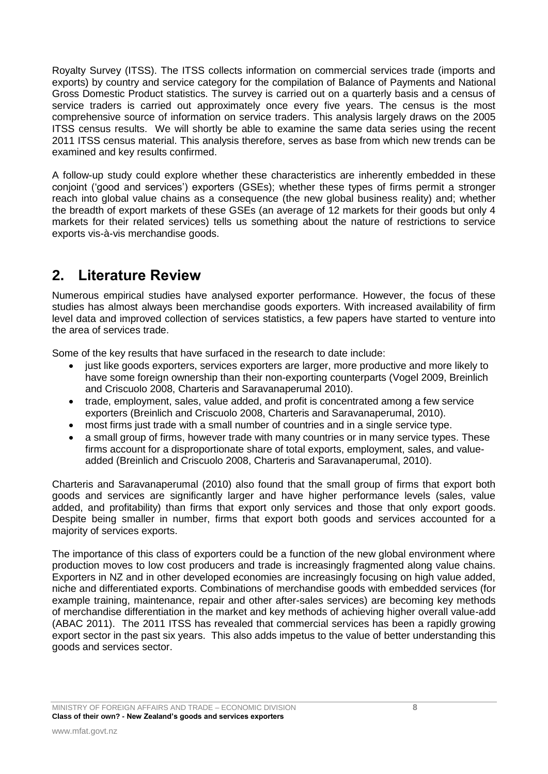Royalty Survey (ITSS). The ITSS collects information on commercial services trade (imports and exports) by country and service category for the compilation of Balance of Payments and National Gross Domestic Product statistics. The survey is carried out on a quarterly basis and a census of service traders is carried out approximately once every five years. The census is the most comprehensive source of information on service traders. This analysis largely draws on the 2005 ITSS census results. We will shortly be able to examine the same data series using the recent 2011 ITSS census material. This analysis therefore, serves as base from which new trends can be examined and key results confirmed.

A follow-up study could explore whether these characteristics are inherently embedded in these conjoint ("good and services") exporters (GSEs); whether these types of firms permit a stronger reach into global value chains as a consequence (the new global business reality) and; whether the breadth of export markets of these GSEs (an average of 12 markets for their goods but only 4 markets for their related services) tells us something about the nature of restrictions to service exports vis-à-vis merchandise goods.

# <span id="page-7-0"></span>**2. Literature Review**

Numerous empirical studies have analysed exporter performance. However, the focus of these studies has almost always been merchandise goods exporters. With increased availability of firm level data and improved collection of services statistics, a few papers have started to venture into the area of services trade.

Some of the key results that have surfaced in the research to date include:

- just like goods exporters, services exporters are larger, more productive and more likely to have some foreign ownership than their non-exporting counterparts (Vogel 2009, Breinlich and Criscuolo 2008, Charteris and Saravanaperumal 2010).
- trade, employment, sales, value added, and profit is concentrated among a few service exporters (Breinlich and Criscuolo 2008, Charteris and Saravanaperumal, 2010).
- most firms just trade with a small number of countries and in a single service type.
- a small group of firms, however trade with many countries or in many service types. These firms account for a disproportionate share of total exports, employment, sales, and valueadded (Breinlich and Criscuolo 2008, Charteris and Saravanaperumal, 2010).

Charteris and Saravanaperumal (2010) also found that the small group of firms that export both goods and services are significantly larger and have higher performance levels (sales, value added, and profitability) than firms that export only services and those that only export goods. Despite being smaller in number, firms that export both goods and services accounted for a majority of services exports.

The importance of this class of exporters could be a function of the new global environment where production moves to low cost producers and trade is increasingly fragmented along value chains. Exporters in NZ and in other developed economies are increasingly focusing on high value added, niche and differentiated exports. Combinations of merchandise goods with embedded services (for example training, maintenance, repair and other after-sales services) are becoming key methods of merchandise differentiation in the market and key methods of achieving higher overall value-add (ABAC 2011). The 2011 ITSS has revealed that commercial services has been a rapidly growing export sector in the past six years. This also adds impetus to the value of better understanding this goods and services sector.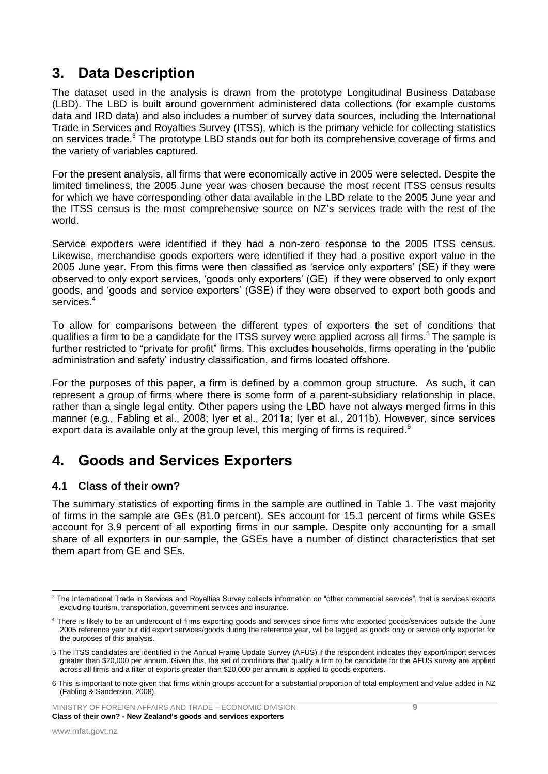## <span id="page-8-0"></span>**3. Data Description**

The dataset used in the analysis is drawn from the prototype Longitudinal Business Database (LBD). The LBD is built around government administered data collections (for example customs data and IRD data) and also includes a number of survey data sources, including the International Trade in Services and Royalties Survey (ITSS), which is the primary vehicle for collecting statistics on services trade.<sup>3</sup> The prototype LBD stands out for both its comprehensive coverage of firms and the variety of variables captured.

For the present analysis, all firms that were economically active in 2005 were selected. Despite the limited timeliness, the 2005 June year was chosen because the most recent ITSS census results for which we have corresponding other data available in the LBD relate to the 2005 June year and the ITSS census is the most comprehensive source on NZ"s services trade with the rest of the world.

Service exporters were identified if they had a non-zero response to the 2005 ITSS census. Likewise, merchandise goods exporters were identified if they had a positive export value in the 2005 June year. From this firms were then classified as "service only exporters" (SE) if they were observed to only export services, "goods only exporters" (GE) if they were observed to only export goods, and "goods and service exporters" (GSE) if they were observed to export both goods and services.<sup>4</sup>

To allow for comparisons between the different types of exporters the set of conditions that qualifies a firm to be a candidate for the ITSS survey were applied across all firms.<sup>5</sup> The sample is further restricted to "private for profit" firms. This excludes households, firms operating in the "public administration and safety" industry classification, and firms located offshore.

For the purposes of this paper, a firm is defined by a common group structure. As such, it can represent a group of firms where there is some form of a parent-subsidiary relationship in place, rather than a single legal entity. Other papers using the LBD have not always merged firms in this manner (e.g., Fabling et al., 2008; Iyer et al., 2011a; Iyer et al., 2011b). However, since services export data is available only at the group level, this merging of firms is required.<sup>6</sup>

## <span id="page-8-1"></span>**4. Goods and Services Exporters**

## <span id="page-8-2"></span>**4.1 Class of their own?**

The summary statistics of exporting firms in the sample are outlined in Table 1. The vast majority of firms in the sample are GEs (81.0 percent). SEs account for 15.1 percent of firms while GSEs account for 3.9 percent of all exporting firms in our sample. Despite only accounting for a small share of all exporters in our sample, the GSEs have a number of distinct characteristics that set them apart from GE and SEs.

<sup>1</sup> <sup>3</sup> The International Trade in Services and Royalties Survey collects information on "other commercial services", that is services exports excluding tourism, transportation, government services and insurance.

<sup>&</sup>lt;sup>4</sup> There is likely to be an undercount of firms exporting goods and services since firms who exported goods/services outside the June 2005 reference year but did export services/goods during the reference year, will be tagged as goods only or service only exporter for the purposes of this analysis.

<sup>5</sup> The ITSS candidates are identified in the Annual Frame Update Survey (AFUS) if the respondent indicates they export/import services greater than \$20,000 per annum. Given this, the set of conditions that qualify a firm to be candidate for the AFUS survey are applied across all firms and a filter of exports greater than \$20,000 per annum is applied to goods exporters.

<sup>6</sup> This is important to note given that firms within groups account for a substantial proportion of total employment and value added in NZ (Fabling & Sanderson, 2008).

MINISTRY OF FOREIGN AFFAIRS AND TRADE – ECONOMIC DIVISION **9 Class of their own? - New Zealand's goods and services exporters**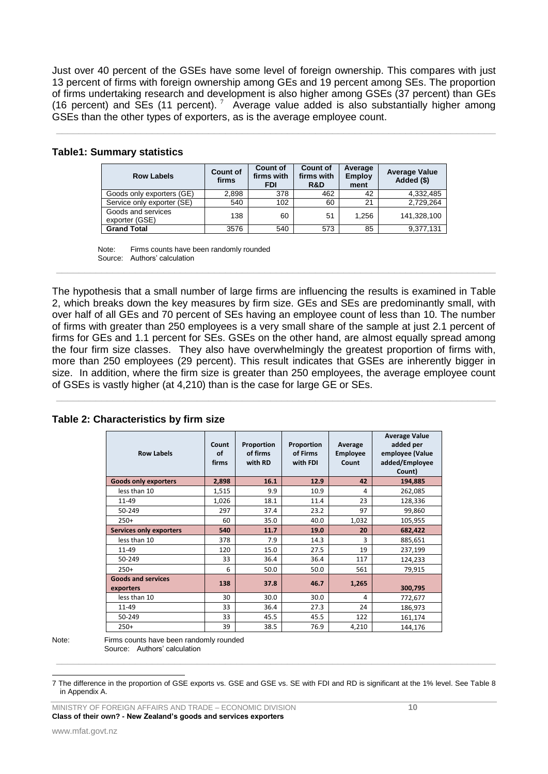Just over 40 percent of the GSEs have some level of foreign ownership. This compares with just 13 percent of firms with foreign ownership among GEs and 19 percent among SEs. The proportion of firms undertaking research and development is also higher among GSEs (37 percent) than GEs (16 percent) and SEs (11 percent).  $7\overline{}$  Average value added is also substantially higher among GSEs than the other types of exporters, as is the average employee count.

 $\_$  , and the contribution of the contribution of the contribution of the contribution of  $\mathcal{L}_\text{max}$ 

|  | Table1: Summary statistics |  |
|--|----------------------------|--|
|--|----------------------------|--|

| <b>Row Labels</b>                    | <b>Count of</b><br>firms | <b>Count of</b><br>firms with<br><b>FDI</b> | <b>Count of</b><br>firms with<br>R&D | Average<br><b>Employ</b><br>ment | <b>Average Value</b><br>Added (\$) |
|--------------------------------------|--------------------------|---------------------------------------------|--------------------------------------|----------------------------------|------------------------------------|
| Goods only exporters (GE)            | 2.898                    | 378                                         | 462                                  | 42                               | 4,332,485                          |
| Service only exporter (SE)           | 540                      | 102                                         | 60                                   | 21                               | 2,729,264                          |
| Goods and services<br>exporter (GSE) | 138                      | 60                                          | 51                                   | 1.256                            | 141,328,100                        |
| <b>Grand Total</b>                   | 3576                     | 540                                         | 573                                  | 85                               | 9,377,131                          |

Note: Firms counts have been randomly rounded Source: Authors' calculation

The hypothesis that a small number of large firms are influencing the results is examined in Table 2, which breaks down the key measures by firm size. GEs and SEs are predominantly small, with over half of all GEs and 70 percent of SEs having an employee count of less than 10. The number of firms with greater than 250 employees is a very small share of the sample at just 2.1 percent of firms for GEs and 1.1 percent for SEs. GSEs on the other hand, are almost equally spread among the four firm size classes. They also have overwhelmingly the greatest proportion of firms with, more than 250 employees (29 percent). This result indicates that GSEs are inherently bigger in size. In addition, where the firm size is greater than 250 employees, the average employee count of GSEs is vastly higher (at 4,210) than is the case for large GE or SEs.

 $\_$  , and the set of the set of the set of the set of the set of the set of the set of the set of the set of the set of the set of the set of the set of the set of the set of the set of the set of the set of the set of th

 $\_$  , and the set of the set of the set of the set of the set of the set of the set of the set of the set of the set of the set of the set of the set of the set of the set of the set of the set of the set of the set of th

| <b>Row Labels</b>                      | Count<br>of<br>firms | Proportion<br>of firms<br>with RD | Proportion<br>of Firms<br>with FDI | Average<br><b>Employee</b><br>Count | <b>Average Value</b><br>added per<br>employee (Value<br>added/Employee<br>Count) |
|----------------------------------------|----------------------|-----------------------------------|------------------------------------|-------------------------------------|----------------------------------------------------------------------------------|
| <b>Goods only exporters</b>            | 2,898                | 16.1                              | 12.9                               | 42                                  | 194,885                                                                          |
| less than 10                           | 1,515                | 9.9                               | 10.9                               | 4                                   | 262,085                                                                          |
| 11-49                                  | 1,026                | 18.1                              | 11.4                               | 23                                  | 128,336                                                                          |
| 50-249                                 | 297                  | 37.4                              | 23.2                               | 97                                  | 99,860                                                                           |
| $250+$                                 | 60                   | 35.0                              | 40.0                               | 1,032                               | 105,955                                                                          |
| <b>Services only exporters</b>         | 540                  | 11.7                              | 19.0                               | 20                                  | 682,422                                                                          |
| less than 10                           | 378                  | 7.9                               | 14.3                               | 3                                   | 885,651                                                                          |
| 11-49                                  | 120                  | 15.0                              | 27.5                               | 19                                  | 237,199                                                                          |
| 50-249                                 | 33                   | 36.4                              | 36.4                               | 117                                 | 124,233                                                                          |
| $250+$                                 | 6                    | 50.0                              | 50.0                               | 561                                 | 79,915                                                                           |
| <b>Goods and services</b><br>exporters | 138                  | 37.8                              | 46.7                               | 1,265                               | 300,795                                                                          |
| less than 10                           | 30                   | 30.0                              | 30.0                               | 4                                   | 772,677                                                                          |
| 11-49                                  | 33                   | 36.4                              | 27.3                               | 24                                  | 186,973                                                                          |
| 50-249                                 | 33                   | 45.5                              | 45.5                               | 122                                 | 161,174                                                                          |
| $250+$                                 | 39                   | 38.5                              | 76.9                               | 4,210                               | 144,176                                                                          |

#### **Table 2: Characteristics by firm size**

 $\_$  , and the set of the set of the set of the set of the set of the set of the set of the set of the set of the set of the set of the set of the set of the set of the set of the set of the set of the set of the set of th

Note: Firms counts have been randomly rounded Source: Authors' calculation

<sup>-</sup>7 The difference in the proportion of GSE exports vs. GSE and GSE vs. SE with FDI and RD is significant at the 1% level. See Table 8 in Appendix A.

MINISTRY OF FOREIGN AFFAIRS AND TRADE – ECONOMIC DIVISION **10 Class of their own? - New Zealand's goods and services exporters**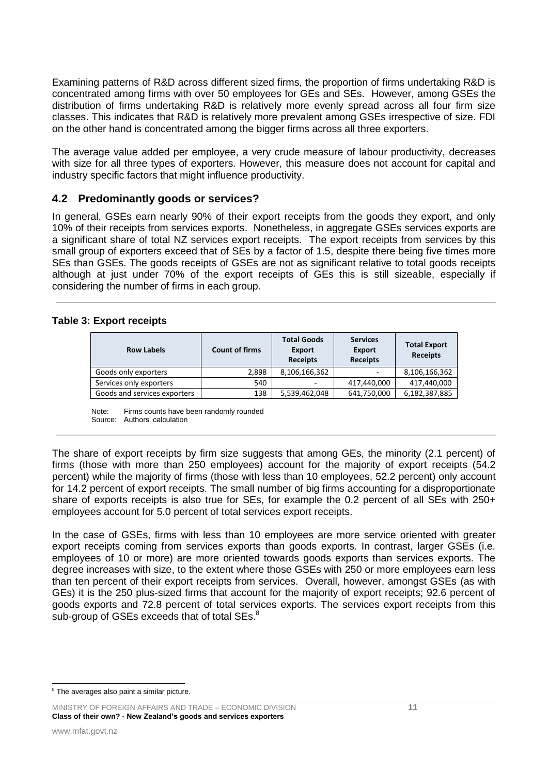Examining patterns of R&D across different sized firms, the proportion of firms undertaking R&D is concentrated among firms with over 50 employees for GEs and SEs. However, among GSEs the distribution of firms undertaking R&D is relatively more evenly spread across all four firm size classes. This indicates that R&D is relatively more prevalent among GSEs irrespective of size. FDI on the other hand is concentrated among the bigger firms across all three exporters.

The average value added per employee, a very crude measure of labour productivity, decreases with size for all three types of exporters. However, this measure does not account for capital and industry specific factors that might influence productivity.

#### <span id="page-10-0"></span>**4.2 Predominantly goods or services?**

In general, GSEs earn nearly 90% of their export receipts from the goods they export, and only 10% of their receipts from services exports. Nonetheless, in aggregate GSEs services exports are a significant share of total NZ services export receipts. The export receipts from services by this small group of exporters exceed that of SEs by a factor of 1.5, despite there being five times more SEs than GSEs. The goods receipts of GSEs are not as significant relative to total goods receipts although at just under 70% of the export receipts of GEs this is still sizeable, especially if considering the number of firms in each group.

\_\_\_\_\_\_\_\_\_\_\_\_\_\_\_\_\_\_\_\_\_\_\_\_\_\_\_\_\_\_\_\_\_\_\_\_\_\_\_\_\_\_\_\_\_\_\_\_\_\_\_\_\_\_\_\_\_\_\_\_\_\_\_\_\_\_\_\_\_\_\_\_\_\_\_\_\_\_

#### **Table 3: Export receipts**

| <b>Row Labels</b>            | <b>Count of firms</b> | <b>Total Goods</b><br><b>Export</b><br><b>Receipts</b> | <b>Services</b><br><b>Export</b><br><b>Receipts</b> | <b>Total Export</b><br><b>Receipts</b> |
|------------------------------|-----------------------|--------------------------------------------------------|-----------------------------------------------------|----------------------------------------|
| Goods only exporters         | 2,898                 | 8,106,166,362                                          | ۰                                                   | 8,106,166,362                          |
| Services only exporters      | 540                   |                                                        | 417,440,000                                         | 417,440,000                            |
| Goods and services exporters | 138                   | 5,539,462,048                                          | 641,750,000                                         | 6,182,387,885                          |

Note: Firms counts have been randomly rounded Source: Authors' calculation

The share of export receipts by firm size suggests that among GEs, the minority (2.1 percent) of firms (those with more than 250 employees) account for the majority of export receipts (54.2 percent) while the majority of firms (those with less than 10 employees, 52.2 percent) only account for 14.2 percent of export receipts. The small number of big firms accounting for a disproportionate share of exports receipts is also true for SEs, for example the 0.2 percent of all SEs with 250+ employees account for 5.0 percent of total services export receipts.

 $\_$  , and the contribution of the contribution of the contribution of the contribution of  $\mathcal{L}_\text{max}$ 

In the case of GSEs, firms with less than 10 employees are more service oriented with greater export receipts coming from services exports than goods exports. In contrast, larger GSEs (i.e. employees of 10 or more) are more oriented towards goods exports than services exports. The degree increases with size, to the extent where those GSEs with 250 or more employees earn less than ten percent of their export receipts from services. Overall, however, amongst GSEs (as with GEs) it is the 250 plus-sized firms that account for the majority of export receipts; 92.6 percent of goods exports and 72.8 percent of total services exports. The services export receipts from this sub-group of GSEs exceeds that of total SEs.<sup>8</sup>

<sup>1</sup> <sup>8</sup> The averages also paint a similar picture.

MINISTRY OF FOREIGN AFFAIRS AND TRADE – ECONOMIC DIVISION **11 Class of their own? - New Zealand's goods and services exporters**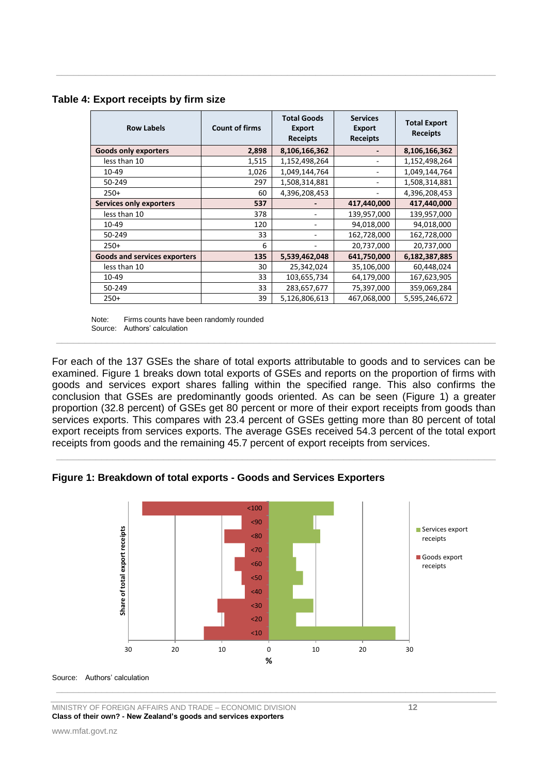| <b>Row Labels</b>                   | <b>Count of firms</b> | <b>Total Goods</b><br><b>Export</b><br><b>Receipts</b> | <b>Services</b><br><b>Export</b><br><b>Receipts</b> | <b>Total Export</b><br><b>Receipts</b> |
|-------------------------------------|-----------------------|--------------------------------------------------------|-----------------------------------------------------|----------------------------------------|
| <b>Goods only exporters</b>         | 2,898                 | 8,106,166,362                                          |                                                     | 8,106,166,362                          |
| less than 10                        | 1,515                 | 1,152,498,264                                          |                                                     | 1,152,498,264                          |
| 10-49                               | 1,026                 | 1,049,144,764                                          |                                                     | 1,049,144,764                          |
| 50-249                              | 297                   | 1,508,314,881                                          |                                                     | 1,508,314,881                          |
| $250+$                              | 60                    | 4,396,208,453                                          |                                                     | 4,396,208,453                          |
| <b>Services only exporters</b>      | 537                   |                                                        | 417,440,000                                         | 417,440,000                            |
| less than 10                        | 378                   |                                                        | 139,957,000                                         | 139,957,000                            |
| 10-49                               | 120                   |                                                        | 94,018,000                                          | 94,018,000                             |
| 50-249                              | 33                    |                                                        | 162,728,000                                         | 162,728,000                            |
| $250+$                              | 6                     |                                                        | 20,737,000                                          | 20,737,000                             |
| <b>Goods and services exporters</b> | 135                   | 5,539,462,048                                          | 641,750,000                                         | 6,182,387,885                          |
| less than 10                        | 30                    | 25,342,024                                             | 35,106,000                                          | 60,448,024                             |
| 10-49                               | 33                    | 103,655,734                                            | 64,179,000                                          | 167,623,905                            |
| 50-249                              | 33                    | 283,657,677                                            | 75,397,000                                          | 359,069,284                            |
| $250+$                              | 39                    | 5,126,806,613                                          | 467,068,000                                         | 5,595,246,672                          |

 $\_$  , and the contribution of the contribution of the contribution of the contribution of  $\mathcal{L}_\text{max}$ 

#### **Table 4: Export receipts by firm size**

Note: Firms counts have been randomly rounded Source: Authors' calculation

For each of the 137 GSEs the share of total exports attributable to goods and to services can be examined. Figure 1 breaks down total exports of GSEs and reports on the proportion of firms with goods and services export shares falling within the specified range. This also confirms the conclusion that GSEs are predominantly goods oriented. As can be seen (Figure 1) a greater proportion (32.8 percent) of GSEs get 80 percent or more of their export receipts from goods than services exports. This compares with 23.4 percent of GSEs getting more than 80 percent of total export receipts from services exports. The average GSEs received 54.3 percent of the total export receipts from goods and the remaining 45.7 percent of export receipts from services.

 $\_$  , and the set of the set of the set of the set of the set of the set of the set of the set of the set of the set of the set of the set of the set of the set of the set of the set of the set of the set of the set of th

 $\_$  , and the contribution of the contribution of the contribution of the contribution of  $\mathcal{L}_\text{max}$ 





 $\_$  , and the set of the set of the set of the set of the set of the set of the set of the set of the set of the set of the set of the set of the set of the set of the set of the set of the set of the set of the set of th

#### Source: Authors' calculation

MINISTRY OF FOREIGN AFFAIRS AND TRADE – ECONOMIC DIVISION **12 Class of their own? - New Zealand's goods and services exporters**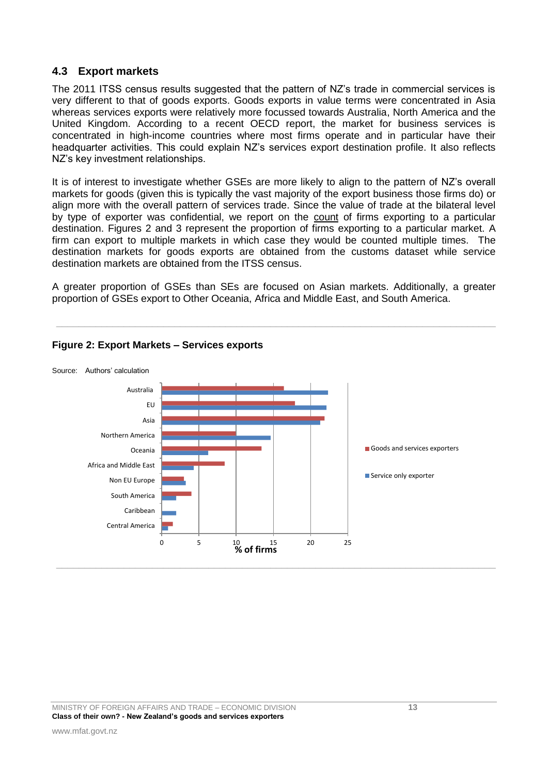### <span id="page-12-0"></span>**4.3 Export markets**

The 2011 ITSS census results suggested that the pattern of NZ's trade in commercial services is very different to that of goods exports. Goods exports in value terms were concentrated in Asia whereas services exports were relatively more focussed towards Australia, North America and the United Kingdom. According to a recent OECD report, the market for business services is concentrated in high-income countries where most firms operate and in particular have their headquarter activities. This could explain NZ's services export destination profile. It also reflects NZ"s key investment relationships.

It is of interest to investigate whether GSEs are more likely to align to the pattern of NZ's overall markets for goods (given this is typically the vast majority of the export business those firms do) or align more with the overall pattern of services trade. Since the value of trade at the bilateral level by type of exporter was confidential, we report on the count of firms exporting to a particular destination. Figures 2 and 3 represent the proportion of firms exporting to a particular market. A firm can export to multiple markets in which case they would be counted multiple times. The destination markets for goods exports are obtained from the customs dataset while service destination markets are obtained from the ITSS census.

A greater proportion of GSEs than SEs are focused on Asian markets. Additionally, a greater proportion of GSEs export to Other Oceania, Africa and Middle East, and South America.

 $\_$  , and the set of the set of the set of the set of the set of the set of the set of the set of the set of the set of the set of the set of the set of the set of the set of the set of the set of the set of the set of th



## **Figure 2: Export Markets – Services exports**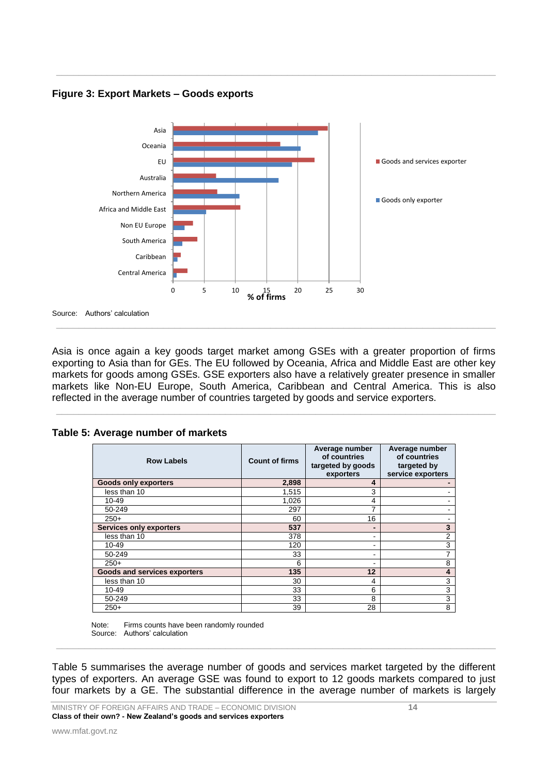**Figure 3: Export Markets – Goods exports**



 $\_$  , and the contribution of the contribution of the contribution of the contribution of  $\mathcal{L}_\text{max}$ 

Asia is once again a key goods target market among GSEs with a greater proportion of firms exporting to Asia than for GEs. The EU followed by Oceania, Africa and Middle East are other key markets for goods among GSEs. GSE exporters also have a relatively greater presence in smaller markets like Non-EU Europe, South America, Caribbean and Central America. This is also reflected in the average number of countries targeted by goods and service exporters.

\_\_\_\_\_\_\_\_\_\_\_\_\_\_\_\_\_\_\_\_\_\_\_\_\_\_\_\_\_\_\_\_\_\_\_\_\_\_\_\_\_\_\_\_\_\_\_\_\_\_\_\_\_\_\_\_\_\_\_\_\_\_\_\_\_\_\_\_\_\_\_\_\_\_\_\_\_\_

| Table 5: Average number of markets |  |  |  |
|------------------------------------|--|--|--|
|                                    |  |  |  |

| <b>Row Labels</b>                   | <b>Count of firms</b> | Average number<br>of countries<br>targeted by goods<br>exporters | Average number<br>of countries<br>targeted by<br>service exporters |
|-------------------------------------|-----------------------|------------------------------------------------------------------|--------------------------------------------------------------------|
| <b>Goods only exporters</b>         | 2,898                 | 4                                                                |                                                                    |
| less than 10                        | 1,515                 | 3                                                                |                                                                    |
| 10-49                               | 1,026                 | 4                                                                |                                                                    |
| 50-249                              | 297                   | 7                                                                |                                                                    |
| $250+$                              | 60                    | 16                                                               |                                                                    |
| Services only exporters             | 537                   | -                                                                | 3                                                                  |
| less than 10                        | 378                   | ۰                                                                | 2                                                                  |
| $10 - 49$                           | 120                   | ۰                                                                | 3                                                                  |
| 50-249                              | 33                    | ۰                                                                |                                                                    |
| $250+$                              | 6                     | ٠                                                                | 8                                                                  |
| <b>Goods and services exporters</b> | 135                   | 12                                                               | 4                                                                  |
| less than 10                        | 30                    | 4                                                                | 3                                                                  |
| 10-49                               | 33                    | 6                                                                | 3                                                                  |
| 50-249                              | 33                    | 8                                                                | 3                                                                  |
| $250+$                              | 39                    | 28                                                               | 8                                                                  |

Note: Firms counts have been randomly rounded Source: Authors' calculation

Table 5 summarises the average number of goods and services market targeted by the different types of exporters. An average GSE was found to export to 12 goods markets compared to just four markets by a GE. The substantial difference in the average number of markets is largely

\_\_\_\_\_\_\_\_\_\_\_\_\_\_\_\_\_\_\_\_\_\_\_\_\_\_\_\_\_\_\_\_\_\_\_\_\_\_\_\_\_\_\_\_\_\_\_\_\_\_\_\_\_\_\_\_\_\_\_\_\_\_\_\_\_\_\_\_\_\_\_\_\_\_\_\_\_\_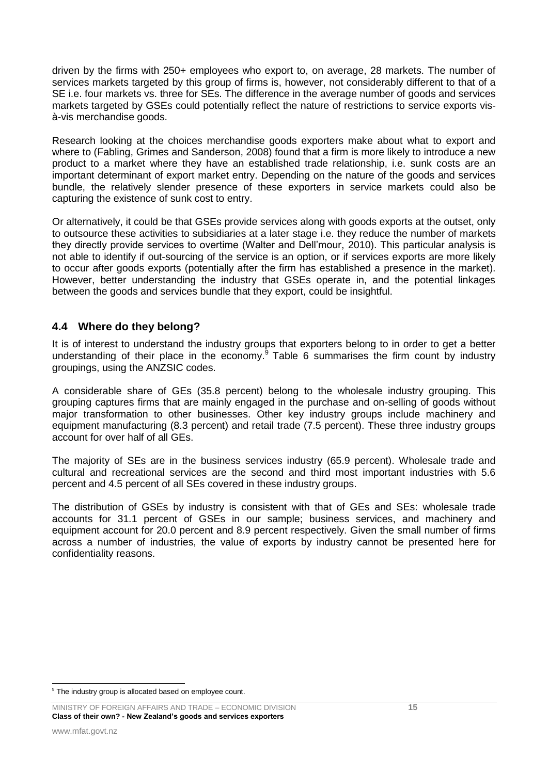driven by the firms with 250+ employees who export to, on average, 28 markets. The number of services markets targeted by this group of firms is, however, not considerably different to that of a SE i.e. four markets vs. three for SEs. The difference in the average number of goods and services markets targeted by GSEs could potentially reflect the nature of restrictions to service exports visà-vis merchandise goods.

Research looking at the choices merchandise goods exporters make about what to export and where to (Fabling, Grimes and Sanderson, 2008) found that a firm is more likely to introduce a new product to a market where they have an established trade relationship, i.e. sunk costs are an important determinant of export market entry. Depending on the nature of the goods and services bundle, the relatively slender presence of these exporters in service markets could also be capturing the existence of sunk cost to entry.

Or alternatively, it could be that GSEs provide services along with goods exports at the outset, only to outsource these activities to subsidiaries at a later stage i.e. they reduce the number of markets they directly provide services to overtime (Walter and Dell"mour, 2010). This particular analysis is not able to identify if out-sourcing of the service is an option, or if services exports are more likely to occur after goods exports (potentially after the firm has established a presence in the market). However, better understanding the industry that GSEs operate in, and the potential linkages between the goods and services bundle that they export, could be insightful.

## <span id="page-14-0"></span>**4.4 Where do they belong?**

It is of interest to understand the industry groups that exporters belong to in order to get a better understanding of their place in the economy. $9$  Table 6 summarises the firm count by industry groupings, using the ANZSIC codes.

A considerable share of GEs (35.8 percent) belong to the wholesale industry grouping. This grouping captures firms that are mainly engaged in the purchase and on-selling of goods without major transformation to other businesses. Other key industry groups include machinery and equipment manufacturing (8.3 percent) and retail trade (7.5 percent). These three industry groups account for over half of all GEs.

The majority of SEs are in the business services industry (65.9 percent). Wholesale trade and cultural and recreational services are the second and third most important industries with 5.6 percent and 4.5 percent of all SEs covered in these industry groups.

The distribution of GSEs by industry is consistent with that of GEs and SEs: wholesale trade accounts for 31.1 percent of GSEs in our sample; business services, and machinery and equipment account for 20.0 percent and 8.9 percent respectively. Given the small number of firms across a number of industries, the value of exports by industry cannot be presented here for confidentiality reasons.

<sup>1</sup> <sup>9</sup> The industry group is allocated based on employee count.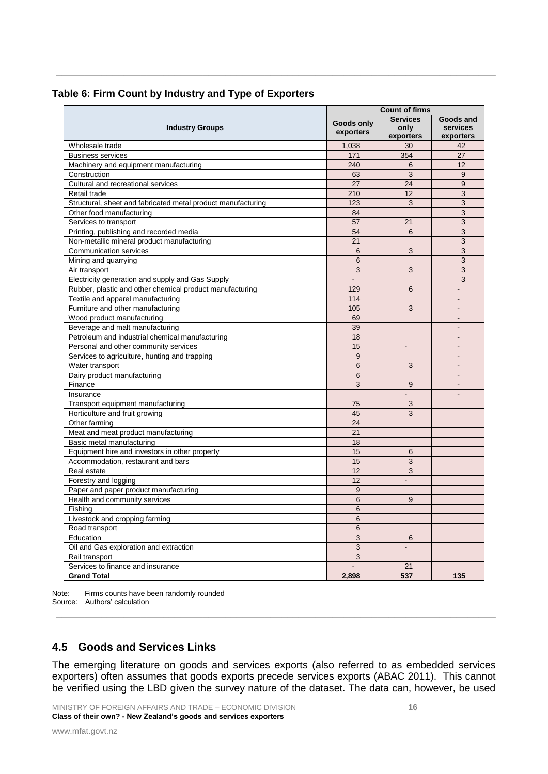|  |  | Table 6: Firm Count by Industry and Type of Exporters |
|--|--|-------------------------------------------------------|
|  |  |                                                       |

|                                                              | <b>Count of firms</b> |                          |                 |
|--------------------------------------------------------------|-----------------------|--------------------------|-----------------|
|                                                              | Goods only            | <b>Services</b>          | Goods and       |
| <b>Industry Groups</b>                                       | exporters             | only                     | <b>services</b> |
|                                                              |                       | exporters                | exporters       |
| Wholesale trade                                              | 1,038                 | 30                       | 42              |
| <b>Business services</b>                                     | 171                   | 354                      | 27              |
| Machinery and equipment manufacturing                        | 240                   | 6                        | 12              |
| Construction                                                 | 63                    | 3                        | 9               |
| Cultural and recreational services                           | 27                    | 24                       | 9               |
| Retail trade                                                 | 210                   | 12                       | 3               |
| Structural, sheet and fabricated metal product manufacturing | 123                   | 3                        | 3               |
| Other food manufacturing                                     | 84                    |                          | 3               |
| Services to transport                                        | 57                    | 21                       | 3               |
| Printing, publishing and recorded media                      | 54                    | 6                        | 3               |
| Non-metallic mineral product manufacturing                   | 21                    |                          | 3               |
| <b>Communication services</b>                                | 6                     | 3                        | 3               |
| Mining and quarrying                                         | 6                     |                          | 3               |
| Air transport                                                | 3                     | 3                        | 3               |
| Electricity generation and supply and Gas Supply             | L.                    |                          | 3               |
| Rubber, plastic and other chemical product manufacturing     | 129                   | 6                        |                 |
| Textile and apparel manufacturing                            | 114                   |                          | $\overline{a}$  |
| Furniture and other manufacturing                            | 105                   | 3                        | ÷.              |
| Wood product manufacturing                                   | 69                    |                          | $\blacksquare$  |
| Beverage and malt manufacturing                              | 39                    |                          |                 |
| Petroleum and industrial chemical manufacturing              | 18                    |                          | $\sim$          |
| Personal and other community services                        | 15                    | $\overline{a}$           |                 |
| Services to agriculture, hunting and trapping                | 9                     |                          | $\blacksquare$  |
| Water transport                                              | 6                     | 3                        |                 |
| Dairy product manufacturing                                  | 6                     |                          | $\overline{a}$  |
| Finance                                                      | 3                     | 9                        |                 |
| Insurance                                                    |                       | L.                       | $\sim$          |
| Transport equipment manufacturing                            | 75                    | 3                        |                 |
| Horticulture and fruit growing                               | 45                    | 3                        |                 |
| Other farming                                                | 24                    |                          |                 |
| Meat and meat product manufacturing                          | 21                    |                          |                 |
| Basic metal manufacturing                                    | 18                    |                          |                 |
| Equipment hire and investors in other property               | 15                    | 6                        |                 |
| Accommodation, restaurant and bars                           | 15                    | 3                        |                 |
| Real estate                                                  | 12                    | 3                        |                 |
| Forestry and logging                                         | 12                    |                          |                 |
| Paper and paper product manufacturing                        | 9                     |                          |                 |
| Health and community services                                | 6                     | 9                        |                 |
| Fishing                                                      | 6                     |                          |                 |
| Livestock and cropping farming                               | 6                     |                          |                 |
| Road transport                                               | 6                     |                          |                 |
| Education                                                    | 3                     | 6                        |                 |
| Oil and Gas exploration and extraction                       | 3                     | $\overline{\phantom{a}}$ |                 |
| Rail transport                                               | 3                     |                          |                 |
| Services to finance and insurance                            |                       | 21                       |                 |
| <b>Grand Total</b>                                           | 2,898                 | 537                      | 135             |
|                                                              |                       |                          |                 |

 $\_$  , and the contribution of the contribution of the contribution of the contribution of  $\mathcal{L}_\text{max}$ 

Note: Firms counts have been randomly rounded Source: Authors' calculation

## <span id="page-15-0"></span>**4.5 Goods and Services Links**

The emerging literature on goods and services exports (also referred to as embedded services exporters) often assumes that goods exports precede services exports (ABAC 2011). This cannot be verified using the LBD given the survey nature of the dataset. The data can, however, be used

 $\_$  , and the set of the set of the set of the set of the set of the set of the set of the set of the set of the set of the set of the set of the set of the set of the set of the set of the set of the set of the set of th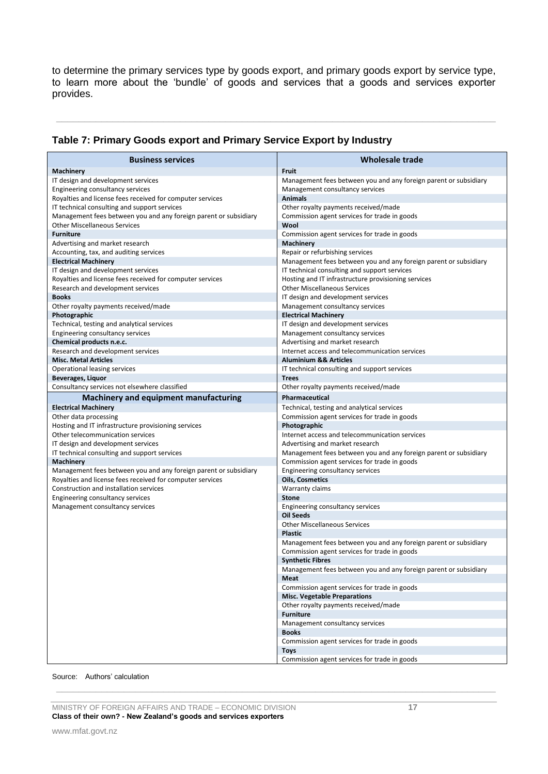to determine the primary services type by goods export, and primary goods export by service type, to learn more about the "bundle" of goods and services that a goods and services exporter provides.

 $\_$  , and the contribution of the contribution of the contribution of the contribution of  $\mathcal{L}_\text{max}$ 

| <b>Business services</b>                                               | Wholesale trade                                                                                     |  |
|------------------------------------------------------------------------|-----------------------------------------------------------------------------------------------------|--|
| Machinery                                                              | <b>Fruit</b>                                                                                        |  |
| IT design and development services<br>Engineering consultancy services | Management fees between you and any foreign parent or subsidiary<br>Management consultancy services |  |
| Royalties and license fees received for computer services              | <b>Animals</b>                                                                                      |  |
| IT technical consulting and support services                           | Other royalty payments received/made                                                                |  |
| Management fees between you and any foreign parent or subsidiary       | Commission agent services for trade in goods                                                        |  |
| <b>Other Miscellaneous Services</b>                                    | Wool                                                                                                |  |
| <b>Furniture</b>                                                       | Commission agent services for trade in goods                                                        |  |
| Advertising and market research                                        | Machinery                                                                                           |  |
| Accounting, tax, and auditing services                                 | Repair or refurbishing services                                                                     |  |
| <b>Electrical Machinery</b>                                            | Management fees between you and any foreign parent or subsidiary                                    |  |
| IT design and development services                                     | IT technical consulting and support services                                                        |  |
| Royalties and license fees received for computer services              | Hosting and IT infrastructure provisioning services                                                 |  |
| Research and development services                                      | <b>Other Miscellaneous Services</b>                                                                 |  |
| <b>Books</b>                                                           | IT design and development services                                                                  |  |
| Other royalty payments received/made                                   | Management consultancy services                                                                     |  |
| Photographic                                                           | <b>Electrical Machinery</b>                                                                         |  |
| Technical, testing and analytical services                             | IT design and development services                                                                  |  |
| Engineering consultancy services                                       | Management consultancy services                                                                     |  |
| Chemical products n.e.c.                                               | Advertising and market research                                                                     |  |
| Research and development services                                      | Internet access and telecommunication services                                                      |  |
| <b>Misc. Metal Articles</b>                                            | <b>Aluminium &amp;&amp; Articles</b>                                                                |  |
| Operational leasing services                                           | IT technical consulting and support services<br><b>Trees</b>                                        |  |
| Beverages, Liquor<br>Consultancy services not elsewhere classified     |                                                                                                     |  |
|                                                                        | Other royalty payments received/made                                                                |  |
| Machinery and equipment manufacturing<br><b>Electrical Machinery</b>   | Pharmaceutical<br>Technical, testing and analytical services                                        |  |
| Other data processing                                                  | Commission agent services for trade in goods                                                        |  |
| Hosting and IT infrastructure provisioning services                    | Photographic                                                                                        |  |
| Other telecommunication services                                       | Internet access and telecommunication services                                                      |  |
| IT design and development services                                     | Advertising and market research                                                                     |  |
| IT technical consulting and support services                           | Management fees between you and any foreign parent or subsidiary                                    |  |
| <b>Machinery</b>                                                       | Commission agent services for trade in goods                                                        |  |
| Management fees between you and any foreign parent or subsidiary       | Engineering consultancy services                                                                    |  |
| Royalties and license fees received for computer services              | <b>Oils, Cosmetics</b>                                                                              |  |
| Construction and installation services                                 | Warranty claims                                                                                     |  |
| Engineering consultancy services                                       | <b>Stone</b>                                                                                        |  |
| Management consultancy services                                        | Engineering consultancy services                                                                    |  |
|                                                                        | <b>Oil Seeds</b>                                                                                    |  |
|                                                                        | <b>Other Miscellaneous Services</b>                                                                 |  |
|                                                                        | <b>Plastic</b>                                                                                      |  |
|                                                                        | Management fees between you and any foreign parent or subsidiary                                    |  |
|                                                                        | Commission agent services for trade in goods                                                        |  |
|                                                                        | <b>Synthetic Fibres</b>                                                                             |  |
|                                                                        | Management fees between you and any foreign parent or subsidiary                                    |  |
|                                                                        | Meat                                                                                                |  |
|                                                                        | Commission agent services for trade in goods<br><b>Misc. Vegetable Preparations</b>                 |  |
|                                                                        | Other royalty payments received/made                                                                |  |
|                                                                        | <b>Furniture</b>                                                                                    |  |
|                                                                        | Management consultancy services                                                                     |  |
|                                                                        | <b>Books</b>                                                                                        |  |
|                                                                        | Commission agent services for trade in goods                                                        |  |
|                                                                        | <b>Toys</b>                                                                                         |  |
|                                                                        | Commission agent services for trade in goods                                                        |  |

 $\_$  , and the set of the set of the set of the set of the set of the set of the set of the set of the set of the set of the set of the set of the set of the set of the set of the set of the set of the set of the set of th

## **Table 7: Primary Goods export and Primary Service Export by Industry**

#### Source: Authors' calculation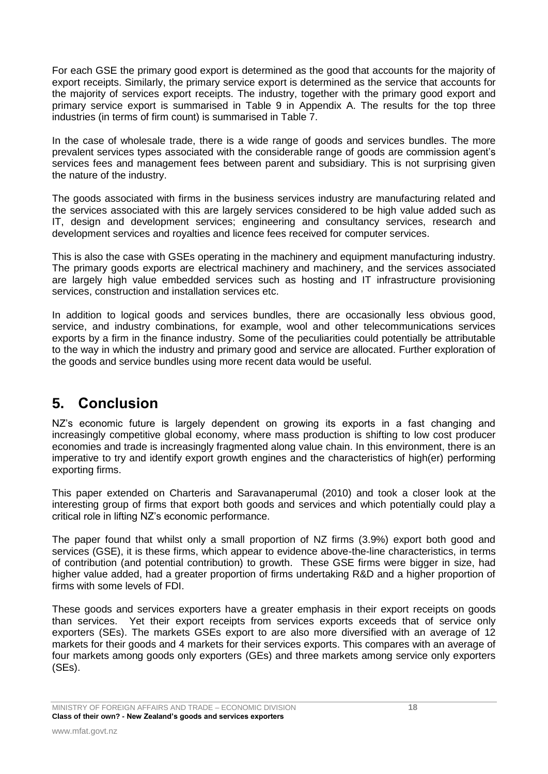For each GSE the primary good export is determined as the good that accounts for the majority of export receipts. Similarly, the primary service export is determined as the service that accounts for the majority of services export receipts. The industry, together with the primary good export and primary service export is summarised in Table 9 in Appendix A. The results for the top three industries (in terms of firm count) is summarised in Table 7.

In the case of wholesale trade, there is a wide range of goods and services bundles. The more prevalent services types associated with the considerable range of goods are commission agent"s services fees and management fees between parent and subsidiary. This is not surprising given the nature of the industry.

The goods associated with firms in the business services industry are manufacturing related and the services associated with this are largely services considered to be high value added such as IT, design and development services; engineering and consultancy services, research and development services and royalties and licence fees received for computer services.

This is also the case with GSEs operating in the machinery and equipment manufacturing industry. The primary goods exports are electrical machinery and machinery, and the services associated are largely high value embedded services such as hosting and IT infrastructure provisioning services, construction and installation services etc.

In addition to logical goods and services bundles, there are occasionally less obvious good, service, and industry combinations, for example, wool and other telecommunications services exports by a firm in the finance industry. Some of the peculiarities could potentially be attributable to the way in which the industry and primary good and service are allocated. Further exploration of the goods and service bundles using more recent data would be useful.

# <span id="page-17-0"></span>**5. Conclusion**

NZ's economic future is largely dependent on growing its exports in a fast changing and increasingly competitive global economy, where mass production is shifting to low cost producer economies and trade is increasingly fragmented along value chain. In this environment, there is an imperative to try and identify export growth engines and the characteristics of high(er) performing exporting firms.

This paper extended on Charteris and Saravanaperumal (2010) and took a closer look at the interesting group of firms that export both goods and services and which potentially could play a critical role in lifting NZ"s economic performance.

The paper found that whilst only a small proportion of NZ firms (3.9%) export both good and services (GSE), it is these firms, which appear to evidence above-the-line characteristics, in terms of contribution (and potential contribution) to growth. These GSE firms were bigger in size, had higher value added, had a greater proportion of firms undertaking R&D and a higher proportion of firms with some levels of FDI.

These goods and services exporters have a greater emphasis in their export receipts on goods than services. Yet their export receipts from services exports exceeds that of service only exporters (SEs). The markets GSEs export to are also more diversified with an average of 12 markets for their goods and 4 markets for their services exports. This compares with an average of four markets among goods only exporters (GEs) and three markets among service only exporters (SEs).

MINISTRY OF FOREIGN AFFAIRS AND TRADE – ECONOMIC DIVISION **18 Class of their own? - New Zealand's goods and services exporters**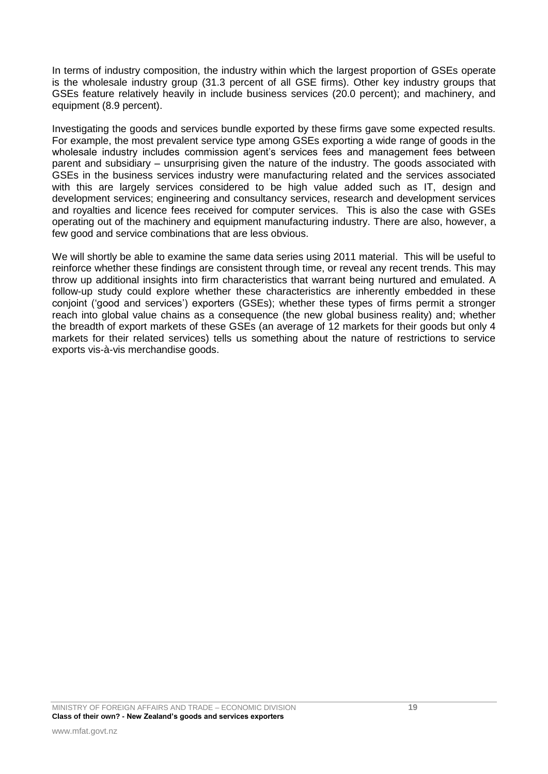In terms of industry composition, the industry within which the largest proportion of GSEs operate is the wholesale industry group (31.3 percent of all GSE firms). Other key industry groups that GSEs feature relatively heavily in include business services (20.0 percent); and machinery, and equipment (8.9 percent).

Investigating the goods and services bundle exported by these firms gave some expected results. For example, the most prevalent service type among GSEs exporting a wide range of goods in the wholesale industry includes commission agent"s services fees and management fees between parent and subsidiary – unsurprising given the nature of the industry. The goods associated with GSEs in the business services industry were manufacturing related and the services associated with this are largely services considered to be high value added such as IT, design and development services; engineering and consultancy services, research and development services and royalties and licence fees received for computer services. This is also the case with GSEs operating out of the machinery and equipment manufacturing industry. There are also, however, a few good and service combinations that are less obvious.

We will shortly be able to examine the same data series using 2011 material. This will be useful to reinforce whether these findings are consistent through time, or reveal any recent trends. This may throw up additional insights into firm characteristics that warrant being nurtured and emulated. A follow-up study could explore whether these characteristics are inherently embedded in these conjoint ("good and services") exporters (GSEs); whether these types of firms permit a stronger reach into global value chains as a consequence (the new global business reality) and; whether the breadth of export markets of these GSEs (an average of 12 markets for their goods but only 4 markets for their related services) tells us something about the nature of restrictions to service exports vis-à-vis merchandise goods.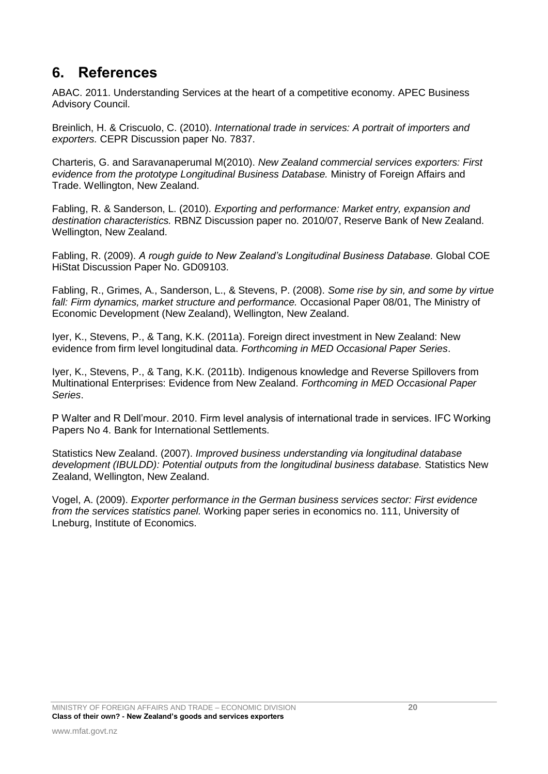## **6. References**

ABAC. 2011. Understanding Services at the heart of a competitive economy. APEC Business Advisory Council.

Breinlich, H. & Criscuolo, C. (2010). *International trade in services: A portrait of importers and exporters.* CEPR Discussion paper No. 7837.

Charteris, G. and Saravanaperumal M(2010). *New Zealand commercial services exporters: First evidence from the prototype Longitudinal Business Database.* Ministry of Foreign Affairs and Trade. Wellington, New Zealand.

Fabling, R. & Sanderson, L. (2010). *Exporting and performance: Market entry, expansion and destination characteristics.* RBNZ Discussion paper no. 2010/07, Reserve Bank of New Zealand. Wellington, New Zealand.

Fabling, R. (2009). *A rough guide to New Zealand's Longitudinal Business Database.* Global COE HiStat Discussion Paper No. GD09103.

Fabling, R., Grimes, A., Sanderson, L., & Stevens, P. (2008). *Some rise by sin, and some by virtue fall: Firm dynamics, market structure and performance.* Occasional Paper 08/01, The Ministry of Economic Development (New Zealand), Wellington, New Zealand.

Iyer, K., Stevens, P., & Tang, K.K. (2011a). Foreign direct investment in New Zealand: New evidence from firm level longitudinal data. *Forthcoming in MED Occasional Paper Series*.

Iyer, K., Stevens, P., & Tang, K.K. (2011b). Indigenous knowledge and Reverse Spillovers from Multinational Enterprises: Evidence from New Zealand. *Forthcoming in MED Occasional Paper Series*.

P Walter and R Dell"mour. 2010. Firm level analysis of international trade in services. IFC Working Papers No 4. Bank for International Settlements.

Statistics New Zealand. (2007). *Improved business understanding via longitudinal database development (IBULDD): Potential outputs from the longitudinal business database.* Statistics New Zealand, Wellington, New Zealand.

Vogel, A. (2009). *Exporter performance in the German business services sector: First evidence from the services statistics panel.* Working paper series in economics no. 111, University of Lneburg, Institute of Economics.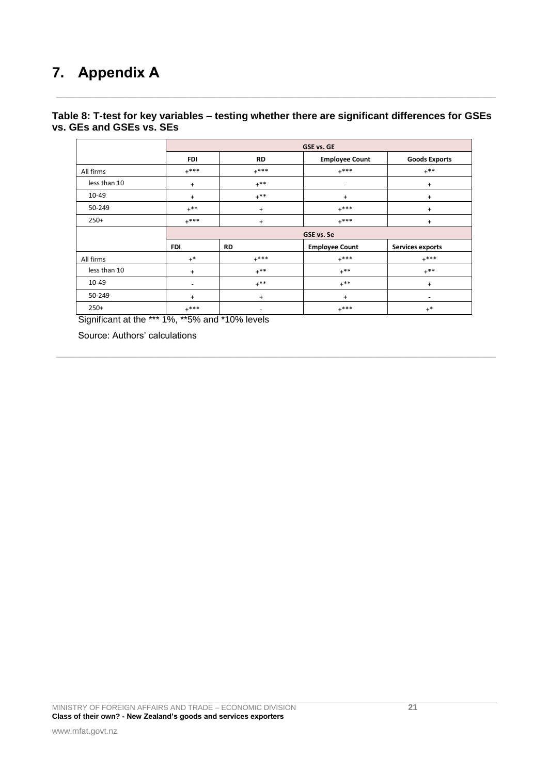# **7. Appendix A**

### **Table 8: T-test for key variables – testing whether there are significant differences for GSEs vs. GEs and GSEs vs. SEs**

 $\_$  , and the contribution of the contribution of the contribution of the contribution of  $\mathcal{L}_\text{max}$ 

|              | <b>GSE vs. GE</b> |           |                          |                         |
|--------------|-------------------|-----------|--------------------------|-------------------------|
|              | <b>FDI</b>        | <b>RD</b> | <b>Employee Count</b>    | <b>Goods Exports</b>    |
| All firms    | $+***$            | $+***$    | $+***$                   | $+$ **                  |
| less than 10 | $+$               | $+$ **    | $\overline{\phantom{a}}$ | $^{+}$                  |
| 10-49        | $+$               | $+***$    | $\ddot{}$                | $+$                     |
| 50-249       | $+**$             | $+$       | $+***$                   | $^{+}$                  |
| $250+$       | $+***$            | $+$       | $+***$                   | $^{+}$                  |
|              | GSE vs. Se        |           |                          |                         |
|              | <b>FDI</b>        | <b>RD</b> | <b>Employee Count</b>    | <b>Services exports</b> |
| All firms    | $+^*$             | $+***$    | $+***$                   | $+***$                  |
| less than 10 | $+$               | $+$ **    | $+$ **                   | $+$ **                  |
| $10 - 49$    | -                 | $+$ **    | $+$ **                   | $+$                     |
| 50-249       | $\ddot{}$         | $+$       | $\ddot{}$                | ۰                       |
| $250+$       | $+***$            | -         | $+***$                   | $+$ *                   |

 $\_$  , and the contribution of the contribution of the contribution of the contribution of  $\mathcal{L}_\text{max}$ 

Significant at the \*\*\* 1%, \*\*5% and \*10% levels

Source: Authors" calculations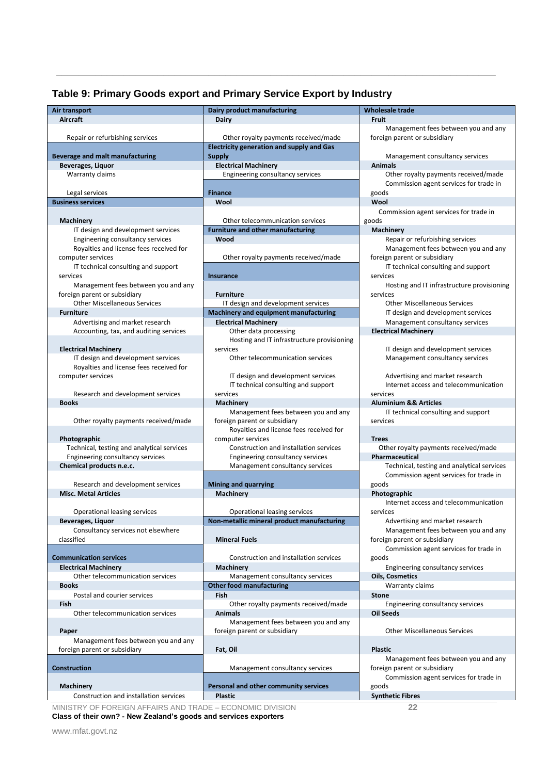## **Table 9: Primary Goods export and Primary Service Export by Industry**

 $\_$  , and the contribution of the contribution of the contribution of the contribution of  $\mathcal{L}_\text{max}$ 

| Air transport                                             | Dairy product manufacturing                      | <b>Wholesale trade</b>                     |
|-----------------------------------------------------------|--------------------------------------------------|--------------------------------------------|
| <b>Aircraft</b>                                           | Dairy                                            | <b>Fruit</b>                               |
|                                                           |                                                  | Management fees between you and any        |
| Repair or refurbishing services                           | Other royalty payments received/made             | foreign parent or subsidiary               |
|                                                           | <b>Electricity generation and supply and Gas</b> |                                            |
| Beverage and malt manufacturing                           | <b>Supply</b>                                    | Management consultancy services            |
| Beverages, Liquor                                         | <b>Electrical Machinery</b>                      | <b>Animals</b>                             |
| Warranty claims                                           | Engineering consultancy services                 | Other royalty payments received/made       |
|                                                           |                                                  |                                            |
|                                                           |                                                  | Commission agent services for trade in     |
| Legal services                                            | <b>Finance</b>                                   | goods                                      |
| <b>Business services</b>                                  | Wool                                             | Wool                                       |
|                                                           |                                                  | Commission agent services for trade in     |
| Machinery                                                 | Other telecommunication services                 | goods                                      |
| IT design and development services                        | <b>Furniture and other manufacturing</b>         | Machinery                                  |
| Engineering consultancy services                          | Wood                                             | Repair or refurbishing services            |
| Royalties and license fees received for                   |                                                  | Management fees between you and any        |
| computer services                                         | Other royalty payments received/made             | foreign parent or subsidiary               |
|                                                           |                                                  | IT technical consulting and support        |
| IT technical consulting and support                       |                                                  |                                            |
| services                                                  | <b>Insurance</b>                                 | services                                   |
| Management fees between you and any                       |                                                  | Hosting and IT infrastructure provisioning |
| foreign parent or subsidiary                              | <b>Furniture</b>                                 | services                                   |
| <b>Other Miscellaneous Services</b>                       | IT design and development services               | <b>Other Miscellaneous Services</b>        |
| <b>Furniture</b>                                          | Machinery and equipment manufacturing            | IT design and development services         |
| Advertising and market research                           | <b>Electrical Machinery</b>                      | Management consultancy services            |
| Accounting, tax, and auditing services                    | Other data processing                            | <b>Electrical Machinery</b>                |
|                                                           | Hosting and IT infrastructure provisioning       |                                            |
| <b>Electrical Machinery</b>                               |                                                  |                                            |
|                                                           | services                                         | IT design and development services         |
| IT design and development services                        | Other telecommunication services                 | Management consultancy services            |
| Royalties and license fees received for                   |                                                  |                                            |
| computer services                                         | IT design and development services               | Advertising and market research            |
|                                                           | IT technical consulting and support              | Internet access and telecommunication      |
| Research and development services                         | services                                         | services                                   |
| <b>Books</b>                                              | Machinery                                        | <b>Aluminium &amp;&amp; Articles</b>       |
|                                                           | Management fees between you and any              | IT technical consulting and support        |
| Other royalty payments received/made                      | foreign parent or subsidiary                     | services                                   |
|                                                           | Royalties and license fees received for          |                                            |
|                                                           |                                                  |                                            |
| Photographic                                              | computer services                                | <b>Trees</b>                               |
| Technical, testing and analytical services                | Construction and installation services           | Other royalty payments received/made       |
| Engineering consultancy services                          | <b>Engineering consultancy services</b>          | Pharmaceutical                             |
| Chemical products n.e.c.                                  | Management consultancy services                  | Technical, testing and analytical services |
|                                                           |                                                  | Commission agent services for trade in     |
| Research and development services                         | <b>Mining and quarrying</b>                      | goods                                      |
| <b>Misc. Metal Articles</b>                               | <b>Machinery</b>                                 | Photographic                               |
|                                                           |                                                  | Internet access and telecommunication      |
| Operational leasing services                              | Operational leasing services                     | services                                   |
| Beverages, Liquor                                         | Non-metallic mineral product manufacturing       | Advertising and market research            |
|                                                           |                                                  |                                            |
| Consultancy services not elsewhere                        |                                                  | Management fees between you and any        |
| classified                                                | <b>Mineral Fuels</b>                             | foreign parent or subsidiary               |
|                                                           |                                                  | Commission agent services for trade in     |
| <b>Communication services</b>                             | Construction and installation services           | goods                                      |
| <b>Electrical Machinery</b>                               | Machinery                                        | Engineering consultancy services           |
| Other telecommunication services                          | Management consultancy services                  | <b>Oils, Cosmetics</b>                     |
| <b>Books</b>                                              | <b>Other food manufacturing</b>                  | Warranty claims                            |
| Postal and courier services                               | Fish                                             | <b>Stone</b>                               |
|                                                           |                                                  |                                            |
| Fish                                                      | Other royalty payments received/made             | Engineering consultancy services           |
| Other telecommunication services                          | <b>Animals</b>                                   | <b>Oil Seeds</b>                           |
|                                                           | Management fees between you and any              |                                            |
| Paper                                                     | foreign parent or subsidiary                     | <b>Other Miscellaneous Services</b>        |
| Management fees between you and any                       |                                                  |                                            |
| foreign parent or subsidiary                              | Fat, Oil                                         | <b>Plastic</b>                             |
|                                                           |                                                  | Management fees between you and any        |
| <b>Construction</b>                                       | Management consultancy services                  | foreign parent or subsidiary               |
|                                                           |                                                  | Commission agent services for trade in     |
|                                                           |                                                  |                                            |
| <b>Machinery</b>                                          | Personal and other community services            | goods                                      |
| Construction and installation services                    | <b>Plastic</b>                                   | <b>Synthetic Fibres</b>                    |
| MINISTRY OF FOREIGN AFFAIRS AND TRADE - ECONOMIC DIVISION |                                                  | 22                                         |

**Class of their own? - New Zealand's goods and services exporters**